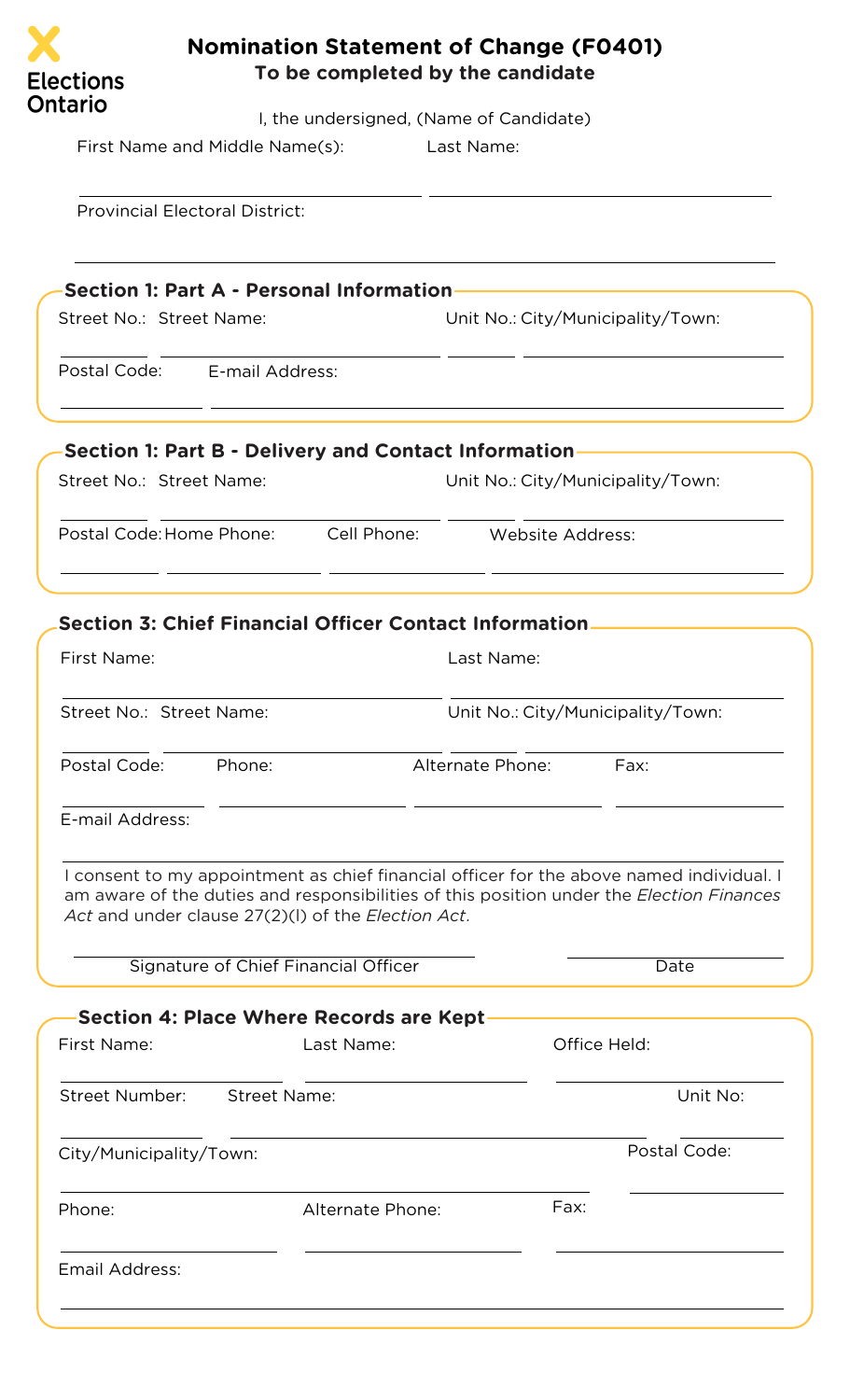

## **Nomination Statement of Change (F0401) To be completed by the candidate**

I, the undersigned, (Name of Candidate)

First Name and Middle Name(s): Last Name:

Provincial Electoral District:

|                          | <b>Section 1: Part A - Personal Information</b> |                                   |
|--------------------------|-------------------------------------------------|-----------------------------------|
| Street No.: Street Name: |                                                 | Unit No.: City/Municipality/Town: |
| Postal Code:             | E-mail Address:                                 |                                   |
|                          |                                                 |                                   |

| <b>Section 1: Part B - Delivery and Contact Information</b> |             |                                   |  |
|-------------------------------------------------------------|-------------|-----------------------------------|--|
| Street No.: Street Name:                                    |             | Unit No.: City/Municipality/Town: |  |
| Postal Code: Home Phone:                                    | Cell Phone: | Website Address:                  |  |

| First Name:              |                                                                                            | Last Name:                                                                                                                                                                                  |                                   |
|--------------------------|--------------------------------------------------------------------------------------------|---------------------------------------------------------------------------------------------------------------------------------------------------------------------------------------------|-----------------------------------|
| Street No.: Street Name: |                                                                                            |                                                                                                                                                                                             | Unit No.: City/Municipality/Town: |
| Postal Code:             | Phone:                                                                                     | Alternate Phone:                                                                                                                                                                            | Fax:                              |
| E-mail Address:          |                                                                                            |                                                                                                                                                                                             |                                   |
|                          | Act and under clause 27(2)(I) of the Election Act.<br>Signature of Chief Financial Officer | I consent to my appointment as chief financial officer for the above named individual. I<br>am aware of the duties and responsibilities of this position under the <i>Election Finances</i> | Date                              |
|                          |                                                                                            | Section 4: Place Where Records are Kept                                                                                                                                                     |                                   |
| First Name:              |                                                                                            | Last Name:                                                                                                                                                                                  | Office Held:                      |
| <b>Street Number:</b>    | <b>Street Name:</b>                                                                        |                                                                                                                                                                                             | Unit No:                          |
| City/Municipality/Town:  |                                                                                            |                                                                                                                                                                                             | Postal Code:                      |

Phone: Fax: Alternate Phone: Fax:

Email Address: